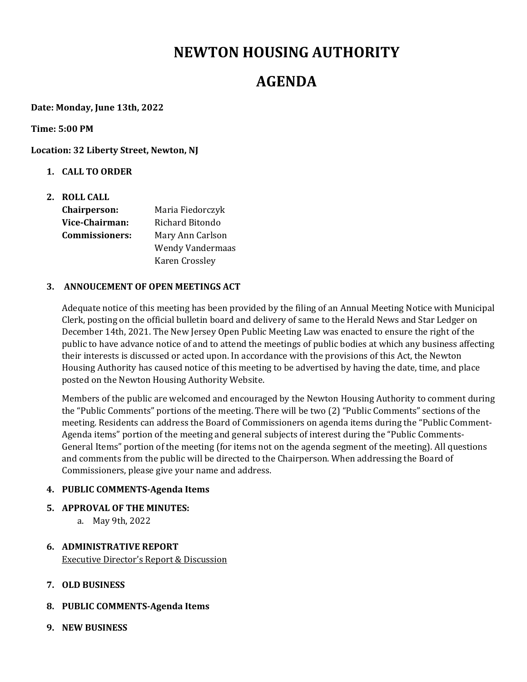# **NEWTON HOUSING AUTHORITY**

## **AGENDA**

**Date: Monday, June 13th, 2022**

**Time: 5:00 PM**

**Location: 32 Liberty Street, Newton, NJ**

- **1. CALL TO ORDER**
- **2. ROLL CALL Chairperson:**  Maria Fiedorczyk **Vice‐Chairman:** Richard Bitondo **Commissioners:** Mary Ann Carlson Wendy Vandermaas

#### **3. ANNOUCEMENT OF OPEN MEETINGS ACT**

Karen Crossley

Adequate notice of this meeting has been provided by the filing of an Annual Meeting Notice with Municipal Clerk, posting on the official bulletin board and delivery of same to the Herald News and Star Ledger on December 14th, 2021. The New Jersey Open Public Meeting Law was enacted to ensure the right of the public to have advance notice of and to attend the meetings of public bodies at which any business affecting their interests is discussed or acted upon. In accordance with the provisions of this Act, the Newton Housing Authority has caused notice of this meeting to be advertised by having the date, time, and place posted on the Newton Housing Authority Website.

Members of the public are welcomed and encouraged by the Newton Housing Authority to comment during the "Public Comments" portions of the meeting. There will be two (2) "Public Comments" sections of the meeting. Residents can address the Board of Commissioners on agenda items during the "Public Comment-Agenda items" portion of the meeting and general subjects of interest during the "Public Comments-General Items" portion of the meeting (for items not on the agenda segment of the meeting). All questions and comments from the public will be directed to the Chairperson. When addressing the Board of Commissioners, please give your name and address.

## **4. PUBLIC COMMENTS‐Agenda Items**

- **5. APPROVAL OF THE MINUTES:** 
	- a. May 9th, 2022
- **6. ADMINISTRATIVE REPORT** Executive Director's Report & Discussion
- **7. OLD BUSINESS**
- **8. PUBLIC COMMENTS‐Agenda Items**
- **9. NEW BUSINESS**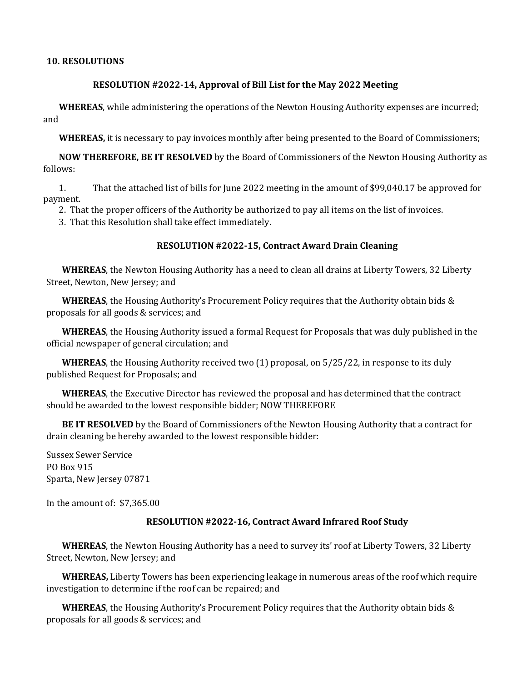#### **10. RESOLUTIONS**

#### **RESOLUTION #2022‐14, Approval of Bill List for the May 2022 Meeting**

**WHEREAS**, while administering the operations of the Newton Housing Authority expenses are incurred; and

**WHEREAS,** it is necessary to pay invoices monthly after being presented to the Board of Commissioners;

**NOW THEREFORE, BE IT RESOLVED** by the Board of Commissioners of the Newton Housing Authority as follows:

1. That the attached list of bills for June 2022 meeting in the amount of \$99,040.17 be approved for payment.

2. That the proper officers of the Authority be authorized to pay all items on the list of invoices.

3. That this Resolution shall take effect immediately.

### **RESOLUTION #2022‐15, Contract Award Drain Cleaning**

**WHEREAS**, the Newton Housing Authority has a need to clean all drains at Liberty Towers, 32 Liberty Street, Newton, New Jersey; and

**WHEREAS**, the Housing Authority's Procurement Policy requires that the Authority obtain bids & proposals for all goods & services; and

**WHEREAS**, the Housing Authority issued a formal Request for Proposals that was duly published in the official newspaper of general circulation; and

**WHEREAS**, the Housing Authority received two (1) proposal, on 5/25/22, in response to its duly published Request for Proposals; and

**WHEREAS**, the Executive Director has reviewed the proposal and has determined that the contract should be awarded to the lowest responsible bidder; NOW THEREFORE

**BE IT RESOLVED** by the Board of Commissioners of the Newton Housing Authority that a contract for drain cleaning be hereby awarded to the lowest responsible bidder:

Sussex Sewer Service PO Box 915 Sparta, New Jersey 07871

In the amount of: \$7,365.00

#### **RESOLUTION #2022‐16, Contract Award Infrared Roof Study**

**WHEREAS**, the Newton Housing Authority has a need to survey its' roof at Liberty Towers, 32 Liberty Street, Newton, New Jersey; and

**WHEREAS,** Liberty Towers has been experiencing leakage in numerous areas of the roof which require investigation to determine if the roof can be repaired; and

**WHEREAS**, the Housing Authority's Procurement Policy requires that the Authority obtain bids & proposals for all goods & services; and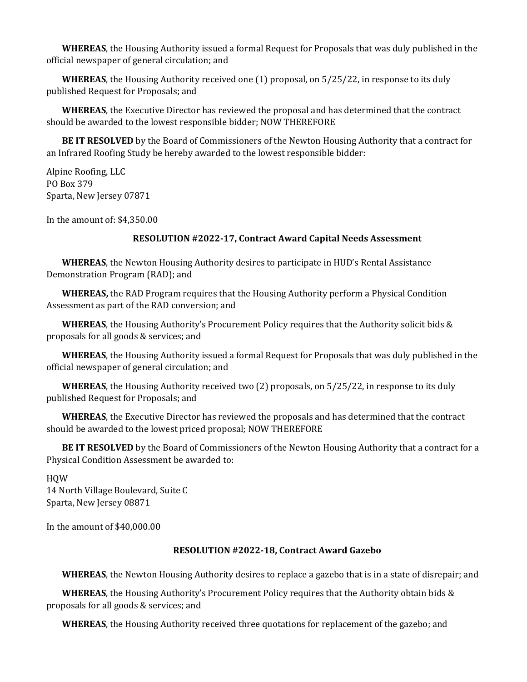**WHEREAS**, the Housing Authority issued a formal Request for Proposals that was duly published in the official newspaper of general circulation; and

**WHEREAS**, the Housing Authority received one (1) proposal, on 5/25/22, in response to its duly published Request for Proposals; and

**WHEREAS**, the Executive Director has reviewed the proposal and has determined that the contract should be awarded to the lowest responsible bidder; NOW THEREFORE

**BE IT RESOLVED** by the Board of Commissioners of the Newton Housing Authority that a contract for an Infrared Roofing Study be hereby awarded to the lowest responsible bidder:

Alpine Roofing, LLC PO Box 379 Sparta, New Jersey 07871

In the amount of: \$4,350.00

#### **RESOLUTION #2022‐17, Contract Award Capital Needs Assessment**

**WHEREAS**, the Newton Housing Authority desires to participate in HUD's Rental Assistance Demonstration Program (RAD); and

**WHEREAS,** the RAD Program requires that the Housing Authority perform a Physical Condition Assessment as part of the RAD conversion; and

**WHEREAS**, the Housing Authority's Procurement Policy requires that the Authority solicit bids & proposals for all goods & services; and

**WHEREAS**, the Housing Authority issued a formal Request for Proposals that was duly published in the official newspaper of general circulation; and

**WHEREAS**, the Housing Authority received two (2) proposals, on 5/25/22, in response to its duly published Request for Proposals; and

**WHEREAS**, the Executive Director has reviewed the proposals and has determined that the contract should be awarded to the lowest priced proposal; NOW THEREFORE

**BE IT RESOLVED** by the Board of Commissioners of the Newton Housing Authority that a contract for a Physical Condition Assessment be awarded to:

HQW 14 North Village Boulevard, Suite C Sparta, New Jersey 08871

In the amount of \$40,000.00

#### **RESOLUTION #2022‐18, Contract Award Gazebo**

**WHEREAS**, the Newton Housing Authority desires to replace a gazebo that is in a state of disrepair; and

**WHEREAS**, the Housing Authority's Procurement Policy requires that the Authority obtain bids & proposals for all goods & services; and

**WHEREAS**, the Housing Authority received three quotations for replacement of the gazebo; and